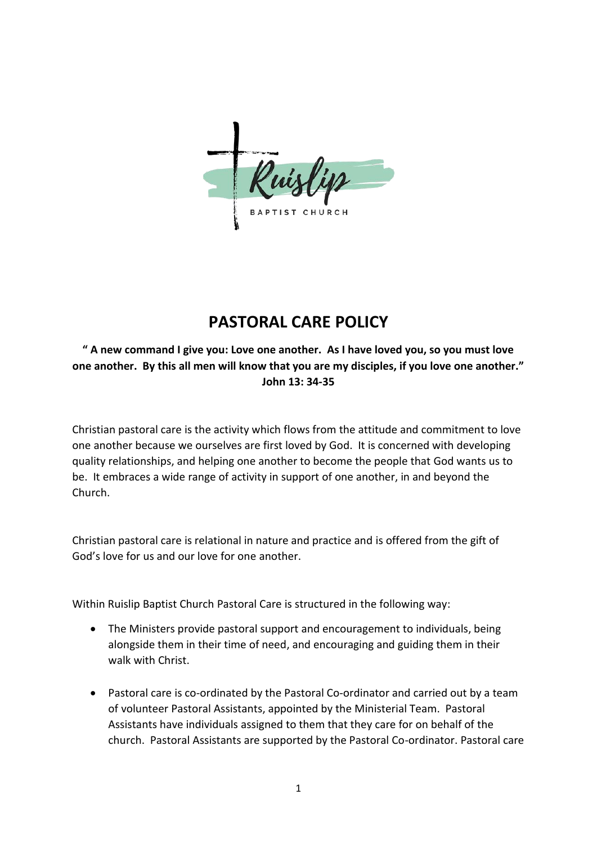CHURCH

## **PASTORAL CARE POLICY**

## **" A new command I give you: Love one another. As I have loved you, so you must love one another. By this all men will know that you are my disciples, if you love one another." John 13: 34-35**

Christian pastoral care is the activity which flows from the attitude and commitment to love one another because we ourselves are first loved by God. It is concerned with developing quality relationships, and helping one another to become the people that God wants us to be. It embraces a wide range of activity in support of one another, in and beyond the Church.

Christian pastoral care is relational in nature and practice and is offered from the gift of God's love for us and our love for one another.

Within Ruislip Baptist Church Pastoral Care is structured in the following way:

- The Ministers provide pastoral support and encouragement to individuals, being alongside them in their time of need, and encouraging and guiding them in their walk with Christ.
- Pastoral care is co-ordinated by the Pastoral Co-ordinator and carried out by a team of volunteer Pastoral Assistants, appointed by the Ministerial Team. Pastoral Assistants have individuals assigned to them that they care for on behalf of the church. Pastoral Assistants are supported by the Pastoral Co-ordinator. Pastoral care